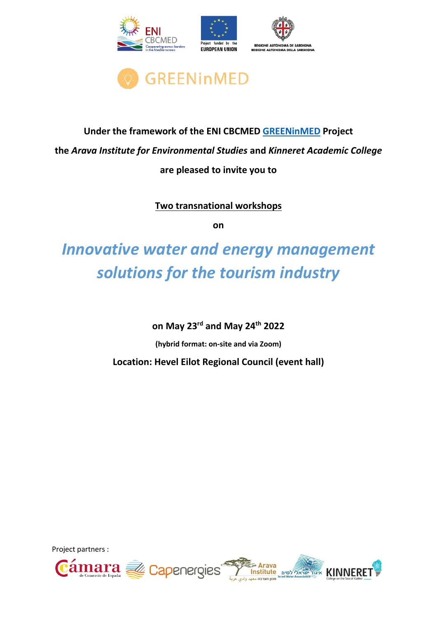



### **Under the framework of the ENI CBCMED [GREENinMED](https://www.enicbcmed.eu/projects/greeninmed) Project the** *Arava Institute for Environmental Studies* **and** *Kinneret Academic College* **are pleased to invite you to**

**Two transnational workshops**

**on**

# *Innovative water and energy management solutions for the tourism industry*

**on May 23rd and May 24th 2022**

**(hybrid format: on-site and via Zoom)**

**Location: Hevel Eilot Regional Council (event hall)**

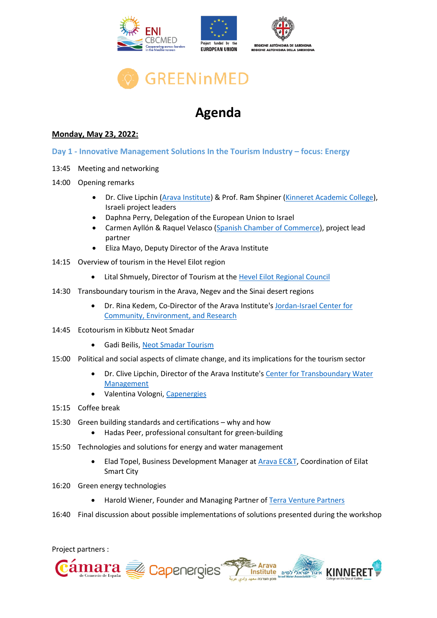

## **Agenda**

### **Monday, May 23, 2022:**

- **Day 1 - Innovative Management Solutions In the Tourism Industry – focus: Energy**
- 13:45 Meeting and networking
- 14:00 Opening remarks
	- Dr. Clive Lipchin [\(Arava Institute\)](https://arava.org/) & Prof. Ram Shpiner [\(Kinneret Academic College\)](https://www.kinneret.ac.il/en/), Israeli project leaders
	- Daphna Perry, Delegation of the European Union to Israel
	- Carmen Ayllón & Raquel Velasco [\(Spanish Chamber of Commerce\)](https://www.camara.es/), project lead partner
	- Eliza Mayo, Deputy Director of the Arava Institute
- 14:15 Overview of tourism in the Hevel Eilot region
	- Lital Shmuely, Director of Tourism at the [Hevel Eilot Regional Council](https://www.eilot.org.il/)
- 14:30 Transboundary tourism in the Arava, Negev and the Sinai desert regions
	- Dr. Rina Kedem, Co-Director of the Arava Institute's [Jordan-Israel Center for](https://arava.org/arava-research-centers/jordan-israel-center-for-community-environment-research/)  [Community, Environment, and Research](https://arava.org/arava-research-centers/jordan-israel-center-for-community-environment-research/)
- 14:45 Ecotourism in Kibbutz Neot Smadar
	- Gadi Beilis, [Neot Smadar Tourism](https://neot-semadar.com/?lang=en)
- 15:00 Political and social aspects of climate change, and its implications for the tourism sector
	- Dr. Clive Lipchin, Director of the Arava Institute's [Center for Transboundary Water](https://arava.org/arava-research-centers/center-for-transboundary-water-management/)  [Management](https://arava.org/arava-research-centers/center-for-transboundary-water-management/)
	- Valentina Vologni, [Capenergies](https://www.capenergies.fr/en/)
- 15:15 Coffee break
- 15:30 Green building standards and certifications why and how
	- Hadas Peer, professional consultant for green-building
- 15:50 Technologies and solutions for energy and water management
	- Elad Topel, Business Development Manager at [Arava EC&T,](https://www.arava-ect.com/) Coordination of Eilat Smart City
- 16:20 Green energy technologies
	- Harold Wiener, Founder and Managing Partner of [Terra Venture Partners](https://www.terravp.com/)
- 16:40 Final discussion about possible implementations of solutions presented during the workshop

Project partners :